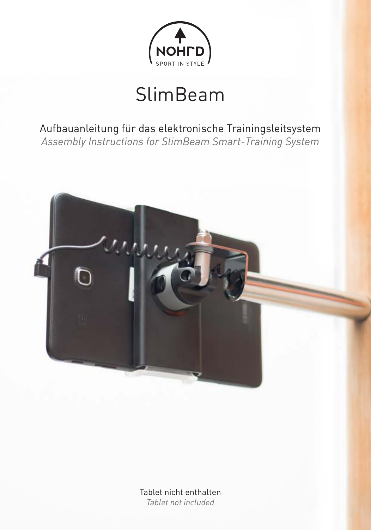

## SlimBeam

Aufbauanleitung für das elektronische Trainingsleitsystem *Assembly Instructions for SlimBeam Smart-Training System*



Tablet nicht enthalten *Tablet not included*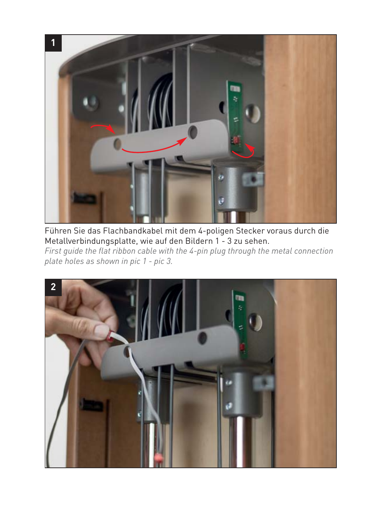

Führen Sie das Flachbandkabel mit dem 4-poligen Stecker voraus durch die Metallverbindungsplatte, wie auf den Bildern 1 - 3 zu sehen. *First guide the flat ribbon cable with the 4-pin plug through the metal connection plate holes as shown in pic 1 - pic 3.*

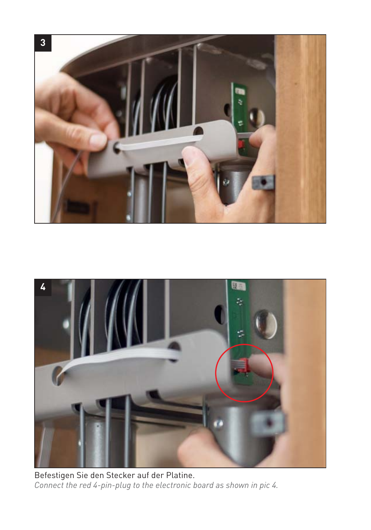



Befestigen Sie den Stecker auf der Platine. *Connect the red 4-pin-plug to the electronic board as shown in pic 4.*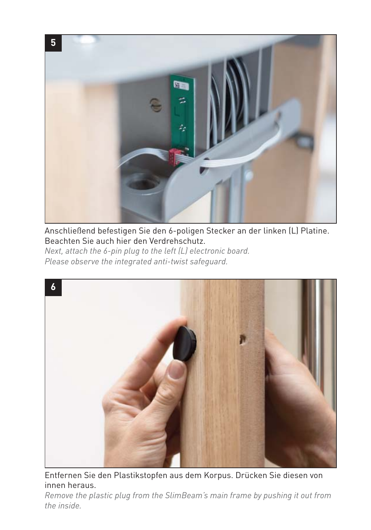

Anschließend befestigen Sie den 6-poligen Stecker an der linken (L) Platine. Beachten Sie auch hier den Verdrehschutz. *Next, attach the 6-pin plug to the left (L) electronic board. Please observe the integrated anti-twist safeguard.*



Entfernen Sie den Plastikstopfen aus dem Korpus. Drücken Sie diesen von innen heraus.

*Remove the plastic plug from the SlimBeam's main frame by pushing it out from the inside.*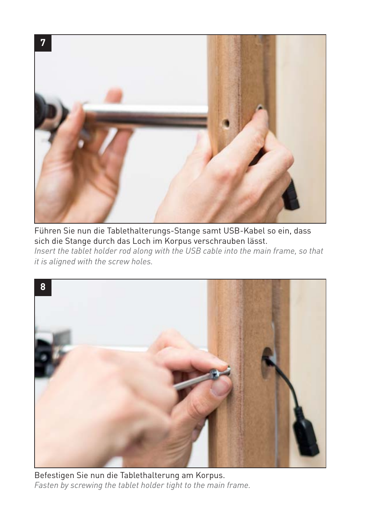

Führen Sie nun die Tablethalterungs-Stange samt USB-Kabel so ein, dass sich die Stange durch das Loch im Korpus verschrauben lässt. *Insert the tablet holder rod along with the USB cable into the main frame, so that it is aligned with the screw holes.*



Befestigen Sie nun die Tablethalterung am Korpus. *Fasten by screwing the tablet holder tight to the main frame.*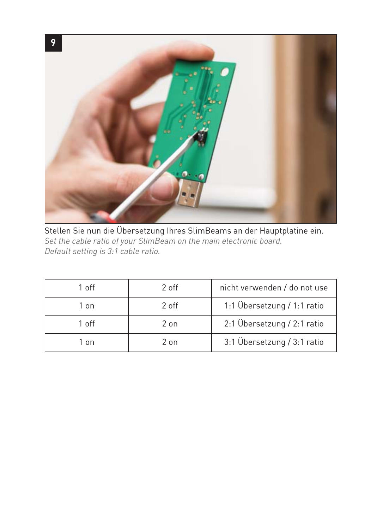

Stellen Sie nun die Übersetzung Ihres SlimBeams an der Hauptplatine ein. *Set the cable ratio of your SlimBeam on the main electronic board. Default setting is 3:1 cable ratio.*

| 1 off | 2 off | nicht verwenden / do not use |
|-------|-------|------------------------------|
| 1 on  | 2 off | 1:1 Übersetzung / 1:1 ratio  |
| 1 off | 2 on  | 2:1 Übersetzung / 2:1 ratio  |
| 1 on  | 2 on  | 3:1 Übersetzung / 3:1 ratio  |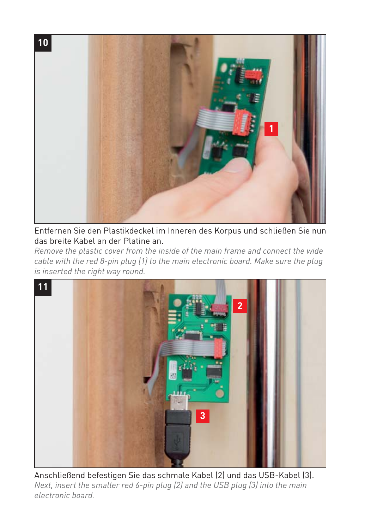

Entfernen Sie den Plastikdeckel im Inneren des Korpus und schließen Sie nun das breite Kabel an der Platine an.

*Remove the plastic cover from the inside of the main frame and connect the wide cable with the red 8-pin plug (1) to the main electronic board. Make sure the plug is inserted the right way round.*



Anschließend befestigen Sie das schmale Kabel (2) und das USB-Kabel (3). *Next, insert the smaller red 6-pin plug (2) and the USB plug (3) into the main electronic board.*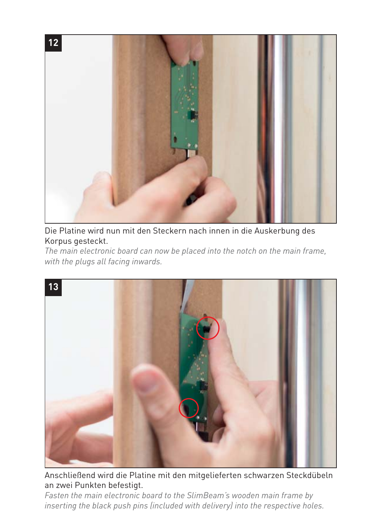

Die Platine wird nun mit den Steckern nach innen in die Auskerbung des Korpus gesteckt.

*The main electronic board can now be placed into the notch on the main frame, with the plugs all facing inwards.*



Anschließend wird die Platine mit den mitgelieferten schwarzen Steckdübeln an zwei Punkten befestigt.

*Fasten the main electronic board to the SlimBeam's wooden main frame by inserting the black push pins (included with delivery) into the respective holes.*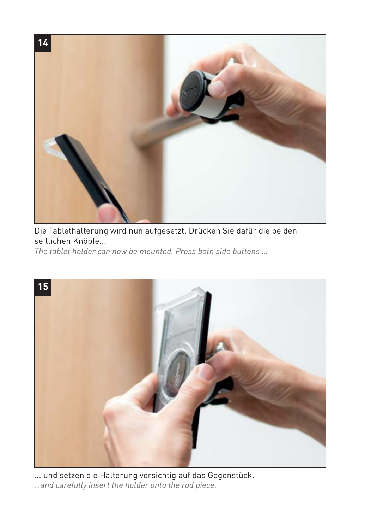

Die Tablethalterung wird nun aufgesetzt. Drücken Sie dafür die beiden seitlichen Knöpfe...

*The tablet holder can now be mounted. Press both side buttons …*



... und setzen die Halterung vorsichtig auf das Gegenstück. *…and carefully insert the holder onto the rod piece.*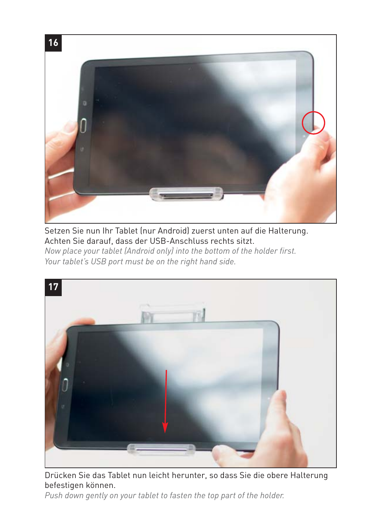

Setzen Sie nun Ihr Tablet (nur Android) zuerst unten auf die Halterung. Achten Sie darauf, dass der USB-Anschluss rechts sitzt. *Now place your tablet (Android only) into the bottom of the holder first. Your tablet's USB port must be on the right hand side.*



Drücken Sie das Tablet nun leicht herunter, so dass Sie die obere Halterung befestigen können.

*Push down gently on your tablet to fasten the top part of the holder.*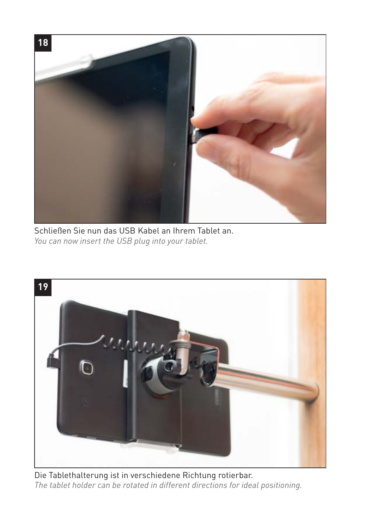

Schließen Sie nun das USB Kabel an Ihrem Tablet an. *You can now insert the USB plug into your tablet.*



Die Tablethalterung ist in verschiedene Richtung rotierbar. *The tablet holder can be rotated in different directions for ideal positioning.*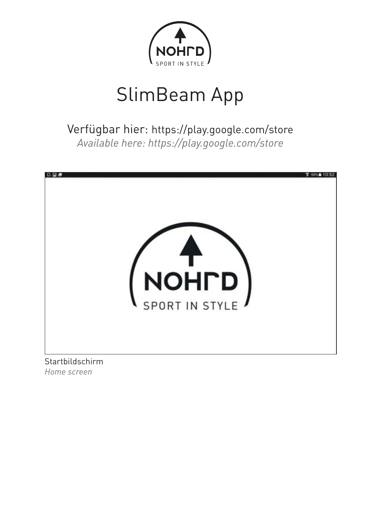

## SlimBeam App

Verfügbar hier: https://play.google.com/store *Available here: https://play.google.com/store*



*Home screen*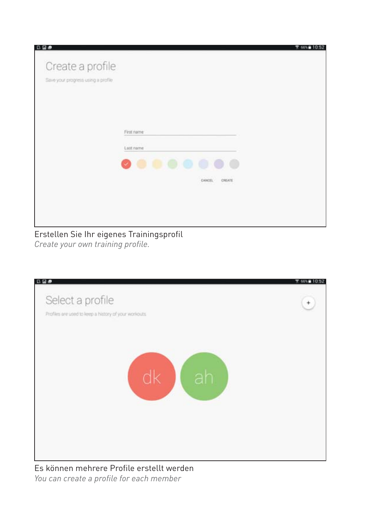| 日日の                                | 〒 66% 810:52             |
|------------------------------------|--------------------------|
| Create a profile                   |                          |
| Save your progress using a profile |                          |
|                                    |                          |
|                                    |                          |
|                                    |                          |
|                                    | First name               |
|                                    | Last name                |
|                                    | .                        |
|                                    | CANCEL.<br><b>CHEATE</b> |
|                                    | 101043                   |
|                                    |                          |
|                                    |                          |

## Erstellen Sie Ihr eigenes Trainingsprofil *Create your own training profile.*



Es können mehrere Profile erstellt werden *You can create a profile for each member*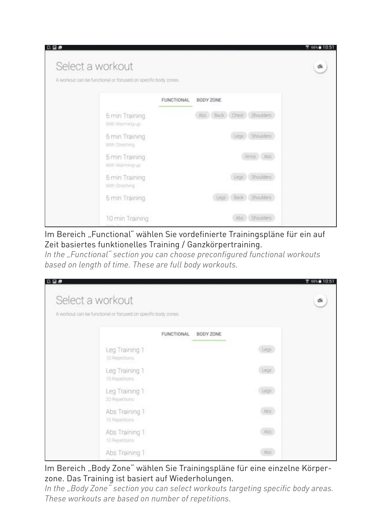| <b>BB</b>        |                                                                |                                | 66%@10:51 |
|------------------|----------------------------------------------------------------|--------------------------------|-----------|
| Select a workout | A workout can be functional or focused on specific body zones. |                                | dk        |
|                  |                                                                | <b>FUNCTIONAL</b><br>BODY ZONE |           |
|                  | 5 min Training<br>With Warrning-up                             | Abs Back Chest Shoulders       |           |
|                  | 5 min Training<br>With Streching                               | Liega Shoulders                |           |
|                  | 5 min Training<br>With Warrning-up                             | Arms Abs                       |           |
|                  | 5 min Training<br>With Streching                               | Legs Shoulders                 |           |
|                  | 5 min Training                                                 | Legs Back Shoulders            |           |
|                  | 10 min Training                                                | Abs Shoulders                  |           |

Im Bereich "Functional" wählen Sie vordefinierte Trainingspläne für ein auf Zeit basiertes funktionelles Training / Ganzkörpertraining.

*In the "Functional" section you can choose preconfigured functional workouts based on length of time. These are full body workouts.*

| Select a workout                                               |       | ďk |
|----------------------------------------------------------------|-------|----|
| A workout can be functional or focused on specific body zones. |       |    |
| <b>FUNCTIONAL</b><br>BODY ZONE                                 |       |    |
| Leg Training 1<br>10 Repetitions                               | Legs. |    |
| Leg Training 1<br>15 Repetitions                               | Eegs  |    |
| Leg Training 1<br>20 Repetitions                               | Legs. |    |
| Abs Training T<br>15 Repetitions                               |       |    |
| Abs Training 1<br>10 Repetitions                               | Abs   |    |
| Abs Training 1                                                 | Abs:  |    |

Im Bereich "Body Zone" wählen Sie Trainingspläne für eine einzelne Körperzone. Das Training ist basiert auf Wiederholungen.

*In the "Body Zone" section you can select workouts targeting specific body areas. These workouts are based on number of repetitions.*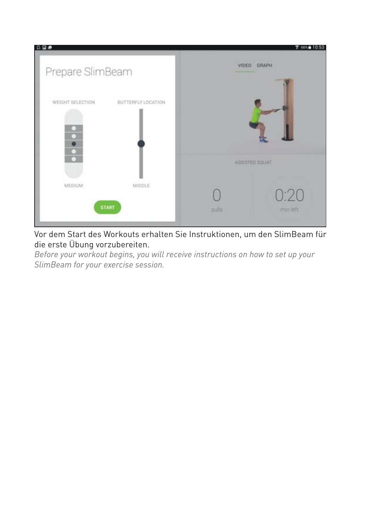

Vor dem Start des Workouts erhalten Sie Instruktionen, um den SlimBeam für die erste Übung vorzubereiten.

*Before your workout begins, you will receive instructions on how to set up your SlimBeam for your exercise session.*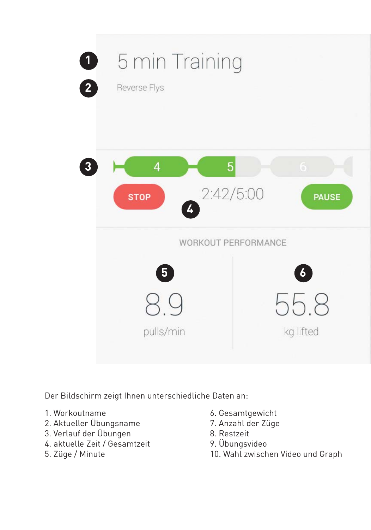

Der Bildschirm zeigt Ihnen unterschiedliche Daten an:

- 1. Workoutname
- 2. Aktueller Übungsname
- 3. Verlauf der Übungen
- 4. aktuelle Zeit / Gesamtzeit
- 5. Züge / Minute
- 6. Gesamtgewicht
- 7. Anzahl der Züge
- 8. Restzeit
- 9. Übungsvideo
- 10. Wahl zwischen Video und Graph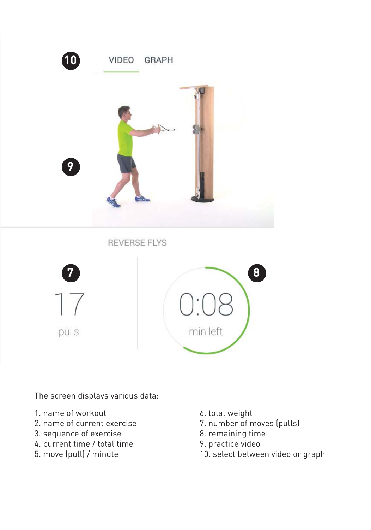

**REVERSE FLYS** 





The screen displays various data:

- 1. name of workout
- 2. name of current exercise
- 3. sequence of exercise
- 4. current time / total time
- 5. move (pull) / minute
- 6. total weight
- 7. number of moves (pulls)
- 8. remaining time
- 9. practice video
- 10. select between video or graph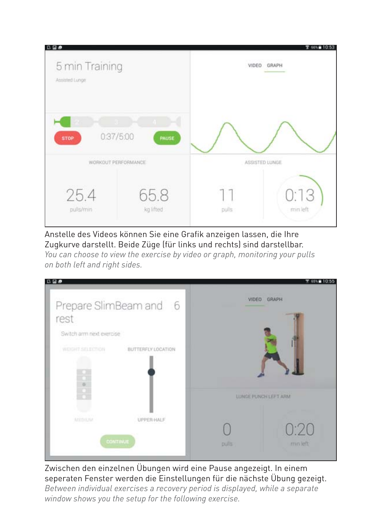| 日日の                              |                   |                | 了66%自10:53       |
|----------------------------------|-------------------|----------------|------------------|
| 5 min Training<br>Assisted Lunge |                   | VIDEO          | GRAPH            |
| 0:37/5:00<br><b>STOP</b>         | <b>PAUSE</b>      |                |                  |
| WORKOUT PERFORMANCE              |                   | ASSISTED LUNGE |                  |
| 25.4<br>pulls/min                | 65.8<br>kg lifted | pulls          | 0:13<br>min left |

Anstelle des Videos können Sie eine Grafik anzeigen lassen, die Ihre Zugkurve darstellt. Beide Züge (für links und rechts) sind darstellbar.

*You can choose to view the exercise by video or graph, monitoring your pulls on both left and right sides.*

| 日目の                                    |       | <b>T 65% 10:55</b>   |
|----------------------------------------|-------|----------------------|
| Prepare SlimBeam and 6                 |       | VIDEO GRAPH          |
| rest                                   |       |                      |
| Switch arm next exercise               |       |                      |
| WEIGHT SELECTION<br>BUTTERFLY LOCATION |       |                      |
|                                        |       |                      |
| $\frac{1}{\alpha}$                     |       |                      |
|                                        |       | LUNGE PUNCH LEFT ARM |
| Arm Drit Hat<br>UPPER-HALF             |       | 0:20                 |
| CONTINUE                               | pulls | min left             |
|                                        |       |                      |

Zwischen den einzelnen Übungen wird eine Pause angezeigt. In einem seperaten Fenster werden die Einstellungen für die nächste Übung gezeigt. *Between individual exercises a recovery period is displayed, while a separate window shows you the setup for the following exercise.*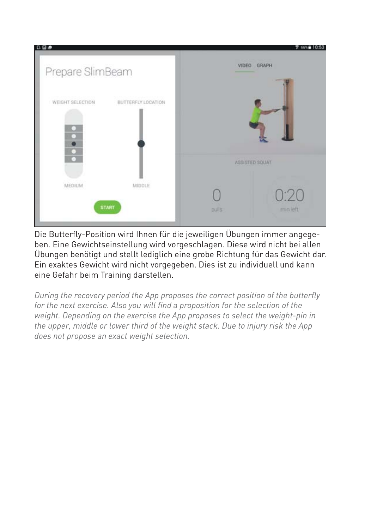

Die Butterfly-Position wird Ihnen für die jeweiligen Übungen immer angegeben. Eine Gewichtseinstellung wird vorgeschlagen. Diese wird nicht bei allen Übungen benötigt und stellt lediglich eine grobe Richtung für das Gewicht dar. Ein exaktes Gewicht wird nicht vorgegeben. Dies ist zu individuell und kann eine Gefahr beim Training darstellen.

*During the recovery period the App proposes the correct position of the butterfly for the next exercise. Also you will find a proposition for the selection of the weight. Depending on the exercise the App proposes to select the weight-pin in the upper, middle or lower third of the weight stack. Due to injury risk the App does not propose an exact weight selection.*